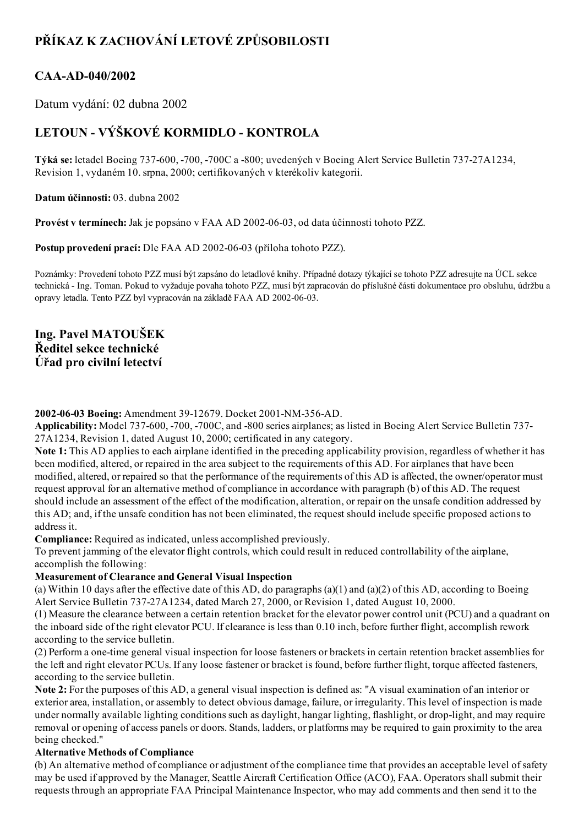# PŘÍKAZ K ZACHOVÁNÍ LETOVÉ ZPŮSOBILOSTI

## CAA-AD-040/2002

Datum vydání: 02 dubna 2002

## LETOUN - VÝŠKOVÉ KORMIDLO - KONTROLA

Týká se: letadel Boeing 737600, 700, 700C a 800; uvedených v Boeing Alert Service Bulletin 73727A1234, Revision 1, vydaném 10. srpna, 2000; certifikovaných v kterékoliv kategorii.

Datum účinnosti: 03. dubna 2002

Provést v termínech: Jak je popsáno v FAA AD 2002-06-03, od data účinnosti tohoto PZZ.

Postup provedení prací: Dle FAA AD 2002-06-03 (příloha tohoto PZZ).

Poznámky: Provedení tohoto PZZ musí být zapsáno do letadlové knihy. Případné dotazy týkající se tohoto PZZ adresujte na ÚCL sekce technická Ing. Toman. Pokud to vyžaduje povaha tohoto PZZ, musí být zapracován do příslušné části dokumentace pro obsluhu, údržbu a opravy letadla. Tento PZZ byl vypracován na základě FAA AD 2002-06-03.

### Ing. Pavel MATOUŠEK Ředitel sekce technické Úřad pro civilní letectví

#### 2002-06-03 Boeing: Amendment 39-12679. Docket 2001-NM-356-AD.

Applicability: Model 737-600, -700, -700C, and -800 series airplanes; as listed in Boeing Alert Service Bulletin 737-27A1234, Revision 1, dated August 10, 2000; certificated in any category.

Note 1: This AD applies to each airplane identified in the preceding applicability provision, regardless of whether it has been modified, altered, or repaired in the area subject to the requirements of this AD. For airplanes that have been modified, altered, or repaired so that the performance of the requirements of this AD is affected, the owner/operator must request approval for an alternative method of compliance in accordance with paragraph (b) of this AD. The request should include an assessment of the effect of the modification, alteration, or repair on the unsafe condition addressed by this AD; and, if the unsafe condition has not been eliminated, the request should include specific proposed actions to address it.

Compliance: Required as indicated, unless accomplished previously.

To prevent jamming of the elevator flight controls, which could result in reduced controllability of the airplane, accomplish the following:

#### Measurement of Clearance and General Visual Inspection

(a) Within 10 days after the effective date of this AD, do paragraphs (a)(1) and (a)(2) of this AD, according to Boeing Alert Service Bulletin 73727A1234, dated March 27, 2000, or Revision 1, dated August 10, 2000.

(1) Measure the clearance between a certain retention bracket for the elevator power control unit (PCU) and a quadrant on the inboard side of the right elevator PCU. If clearance is less than 0.10 inch, before further flight, accomplish rework according to the service bulletin.

(2) Perform a onetime general visual inspection for loose fasteners or brackets in certain retention bracket assemblies for the left and right elevator PCUs. If any loose fastener or bracket is found, before further flight, torque affected fasteners, according to the service bulletin.

Note 2: For the purposes of this AD, a general visual inspection is defined as: "A visual examination of an interior or exterior area, installation, or assembly to detect obvious damage, failure, or irregularity. This level of inspection is made under normally available lighting conditions such as daylight, hangar lighting, flashlight, or drop-light, and may require removal or opening of access panels or doors. Stands, ladders, or platforms may be required to gain proximity to the area being checked."

#### Alternative Methods of Compliance

(b) An alternative method of compliance or adjustment of the compliance time that provides an acceptable level ofsafety may be used if approved by the Manager, Seattle Aircraft Certification Office (ACO), FAA. Operators shall submit their requests through an appropriate FAA Principal Maintenance Inspector, who may add comments and then send it to the